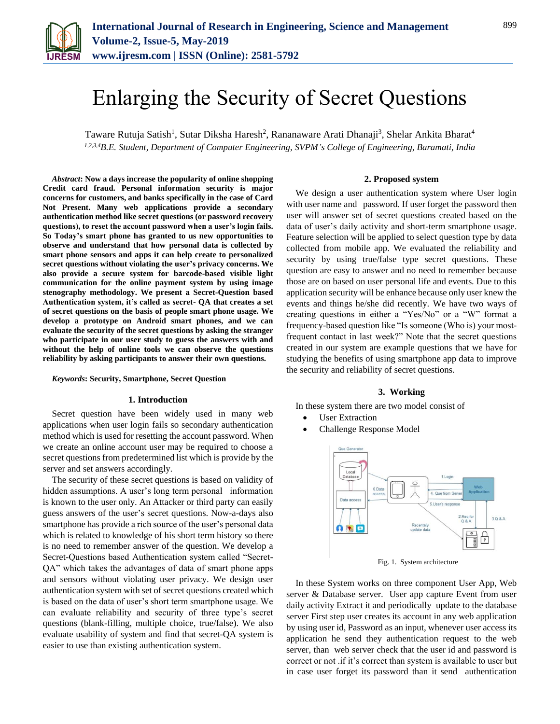

# Enlarging the Security of Secret Questions

Taware Rutuja Satish<sup>1</sup>, Sutar Diksha Haresh<sup>2</sup>, Rananaware Arati Dhanaji<sup>3</sup>, Shelar Ankita Bharat<sup>4</sup> *1,2,3,4B.E. Student, Department of Computer Engineering, SVPM's College of Engineering, Baramati, India*

*Abstract***: Now a days increase the popularity of online shopping Credit card fraud. Personal information security is major concerns for customers, and banks specifically in the case of Card Not Present. Many web applications provide a secondary authentication method like secret questions (or password recovery questions), to reset the account password when a user's login fails. So Today's smart phone has granted to us new opportunities to observe and understand that how personal data is collected by smart phone sensors and apps it can help create to personalized secret questions without violating the user's privacy concerns. We also provide a secure system for barcode-based visible light communication for the online payment system by using image stenography methodology. We present a Secret-Question based Authentication system, it's called as secret- QA that creates a set of secret questions on the basis of people smart phone usage. We develop a prototype on Android smart phones, and we can evaluate the security of the secret questions by asking the stranger who participate in our user study to guess the answers with and without the help of online tools we can observe the questions reliability by asking participants to answer their own questions.**

#### *Keywords***: Security, Smartphone, Secret Question**

#### **1. Introduction**

Secret question have been widely used in many web applications when user login fails so secondary authentication method which is used for resetting the account password. When we create an online account user may be required to choose a secret questions from predetermined list which is provide by the server and set answers accordingly.

The security of these secret questions is based on validity of hidden assumptions. A user's long term personal information is known to the user only. An Attacker or third party can easily guess answers of the user's secret questions. Now-a-days also smartphone has provide a rich source of the user's personal data which is related to knowledge of his short term history so there is no need to remember answer of the question. We develop a Secret-Questions based Authentication system called "Secret-QA" which takes the advantages of data of smart phone apps and sensors without violating user privacy. We design user authentication system with set of secret questions created which is based on the data of user's short term smartphone usage. We can evaluate reliability and security of three type's secret questions (blank-filling, multiple choice, true/false). We also evaluate usability of system and find that secret-QA system is easier to use than existing authentication system.

### **2. Proposed system**

We design a user authentication system where User login with user name and password. If user forget the password then user will answer set of secret questions created based on the data of user's daily activity and short-term smartphone usage. Feature selection will be applied to select question type by data collected from mobile app. We evaluated the reliability and security by using true/false type secret questions. These question are easy to answer and no need to remember because those are on based on user personal life and events. Due to this application security will be enhance because only user knew the events and things he/she did recently. We have two ways of creating questions in either a "Yes/No" or a "W" format a frequency-based question like "Is someone (Who is) your mostfrequent contact in last week?" Note that the secret questions created in our system are example questions that we have for studying the benefits of using smartphone app data to improve the security and reliability of secret questions.

#### **3. Working**

In these system there are two model consist of

- User Extraction
- Challenge Response Model



Fig. 1. System architecture

In these System works on three component User App, Web server & Database server. User app capture Event from user daily activity Extract it and periodically update to the database server First step user creates its account in any web application by using user id, Password as an input, whenever user access its application he send they authentication request to the web server, than web server check that the user id and password is correct or not .if it's correct than system is available to user but in case user forget its password than it send authentication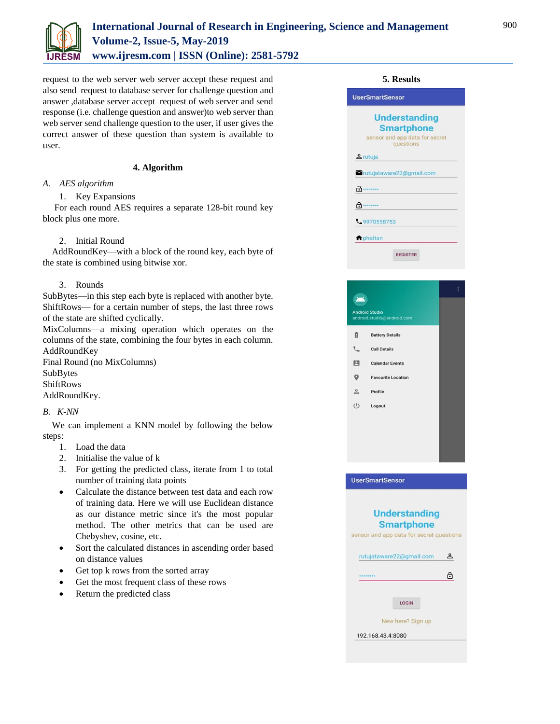

## **International Journal of Research in Engineering, Science and Management Volume-2, Issue-5, May-2019 www.ijresm.com | ISSN (Online): 2581-5792**

request to the web server web server accept these request and also send request to database server for challenge question and answer ,database server accept request of web server and send response (i.e. challenge question and answer)to web server than web server send challenge question to the user, if user gives the correct answer of these question than system is available to user.

## **4. Algorithm**

## *A. AES algorithm*

1. Key Expansions

For each round AES requires a separate 128-bit round key block plus one more.

## 2. Initial Round

AddRoundKey—with a block of the round key, each byte of the state is combined using bitwise xor.

## 3. Rounds

SubBytes—in this step each byte is replaced with another byte. ShiftRows— for a certain number of steps, the last three rows of the state are shifted cyclically.

MixColumns—a mixing operation which operates on the columns of the state, combining the four bytes in each column. AddRoundKey

Final Round (no MixColumns) SubBytes ShiftRows AddRoundKey.

## *B. K-NN*

We can implement a KNN model by following the below steps:

- 1. Load the data
- 2. Initialise the value of k
- 3. For getting the predicted class, iterate from 1 to total number of training data points
- Calculate the distance between test data and each row of training data. Here we will use Euclidean distance as our distance metric since it's the most popular method. The other metrics that can be used are Chebyshev, cosine, etc.
- Sort the calculated distances in ascending order based on distance values
- Get top k rows from the sorted array
- Get the most frequent class of these rows
- Return the predicted class

| <b>5. Results</b>                                                                        |
|------------------------------------------------------------------------------------------|
| <b>UserSmartSensor</b>                                                                   |
| <b>Understanding</b><br><b>Smartphone</b><br>sensor and app data for secret<br>questions |
| & rutuja<br>Tutujataware22@gmail.com<br>ै                                                |
| ඨ<br>9970558753                                                                          |
| the phaltan<br><b>REGISTER</b>                                                           |





rutujataware22@gmail.com

LOGIN New here? Sign up

.......

192.168.43.4:8080

| erstanding       |  |  |  |  |  |
|------------------|--|--|--|--|--|
| <b>Artistana</b> |  |  |  |  |  |

ക

⊕

900